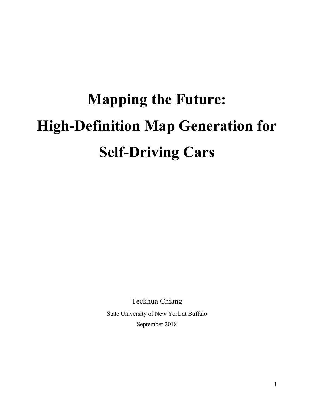# **Mapping the Future: High-Definition Map Generation for Self-Driving Cars**

Teckhua Chiang State University of New York at Buffalo September 2018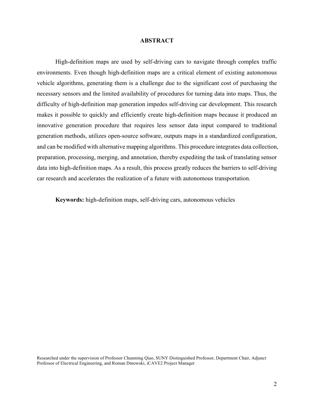#### **ABSTRACT**

High-definition maps are used by self-driving cars to navigate through complex traffic environments. Even though high-definition maps are a critical element of existing autonomous vehicle algorithms, generating them is a challenge due to the significant cost of purchasing the necessary sensors and the limited availability of procedures for turning data into maps. Thus, the difficulty of high-definition map generation impedes self-driving car development. This research makes it possible to quickly and efficiently create high-definition maps because it produced an innovative generation procedure that requires less sensor data input compared to traditional generation methods, utilizes open-source software, outputs maps in a standardized configuration, and can be modified with alternative mapping algorithms. This procedure integrates data collection, preparation, processing, merging, and annotation, thereby expediting the task of translating sensor data into high-definition maps. As a result, this process greatly reduces the barriers to self-driving car research and accelerates the realization of a future with autonomous transportation.

**Keywords:** high-definition maps, self-driving cars, autonomous vehicles

Researched under the supervision of Professor Chunming Qiao, SUNY Distinguished Professor, Department Chair, Adjunct Professor of Electrical Engineering, and Roman Dmowski, iCAVE2 Project Manager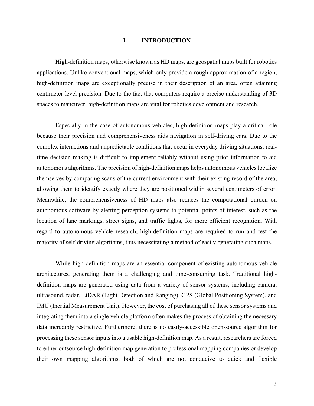## **I. INTRODUCTION**

High-definition maps, otherwise known as HD maps, are geospatial maps built for robotics applications. Unlike conventional maps, which only provide a rough approximation of a region, high-definition maps are exceptionally precise in their description of an area, often attaining centimeter-level precision. Due to the fact that computers require a precise understanding of 3D spaces to maneuver, high-definition maps are vital for robotics development and research.

Especially in the case of autonomous vehicles, high-definition maps play a critical role because their precision and comprehensiveness aids navigation in self-driving cars. Due to the complex interactions and unpredictable conditions that occur in everyday driving situations, realtime decision-making is difficult to implement reliably without using prior information to aid autonomous algorithms. The precision of high-definition maps helps autonomous vehicles localize themselves by comparing scans of the current environment with their existing record of the area, allowing them to identify exactly where they are positioned within several centimeters of error. Meanwhile, the comprehensiveness of HD maps also reduces the computational burden on autonomous software by alerting perception systems to potential points of interest, such as the location of lane markings, street signs, and traffic lights, for more efficient recognition. With regard to autonomous vehicle research, high-definition maps are required to run and test the majority of self-driving algorithms, thus necessitating a method of easily generating such maps.

While high-definition maps are an essential component of existing autonomous vehicle architectures, generating them is a challenging and time-consuming task. Traditional highdefinition maps are generated using data from a variety of sensor systems, including camera, ultrasound, radar, LiDAR (Light Detection and Ranging), GPS (Global Positioning System), and IMU (Inertial Measurement Unit). However, the cost of purchasing all of these sensor systems and integrating them into a single vehicle platform often makes the process of obtaining the necessary data incredibly restrictive. Furthermore, there is no easily-accessible open-source algorithm for processing these sensor inputs into a usable high-definition map. As a result, researchers are forced to either outsource high-definition map generation to professional mapping companies or develop their own mapping algorithms, both of which are not conducive to quick and flexible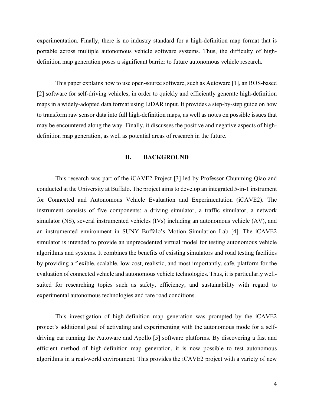experimentation. Finally, there is no industry standard for a high-definition map format that is portable across multiple autonomous vehicle software systems. Thus, the difficulty of highdefinition map generation poses a significant barrier to future autonomous vehicle research.

This paper explains how to use open-source software, such as Autoware [1], an ROS-based [2] software for self-driving vehicles, in order to quickly and efficiently generate high-definition maps in a widely-adopted data format using LiDAR input. It provides a step-by-step guide on how to transform raw sensor data into full high-definition maps, as well as notes on possible issues that may be encountered along the way. Finally, it discusses the positive and negative aspects of highdefinition map generation, as well as potential areas of research in the future.

## **II. BACKGROUND**

This research was part of the iCAVE2 Project [3] led by Professor Chunming Qiao and conducted at the University at Buffalo. The project aims to develop an integrated 5-in-1 instrument for Connected and Autonomous Vehicle Evaluation and Experimentation (iCAVE2). The instrument consists of five components: a driving simulator, a traffic simulator, a network simulator (NS), several instrumented vehicles (IVs) including an autonomous vehicle (AV), and an instrumented environment in SUNY Buffalo's Motion Simulation Lab [4]. The iCAVE2 simulator is intended to provide an unprecedented virtual model for testing autonomous vehicle algorithms and systems. It combines the benefits of existing simulators and road testing facilities by providing a flexible, scalable, low-cost, realistic, and most importantly, safe, platform for the evaluation of connected vehicle and autonomous vehicle technologies. Thus, it is particularly wellsuited for researching topics such as safety, efficiency, and sustainability with regard to experimental autonomous technologies and rare road conditions.

This investigation of high-definition map generation was prompted by the iCAVE2 project's additional goal of activating and experimenting with the autonomous mode for a selfdriving car running the Autoware and Apollo [5] software platforms. By discovering a fast and efficient method of high-definition map generation, it is now possible to test autonomous algorithms in a real-world environment. This provides the iCAVE2 project with a variety of new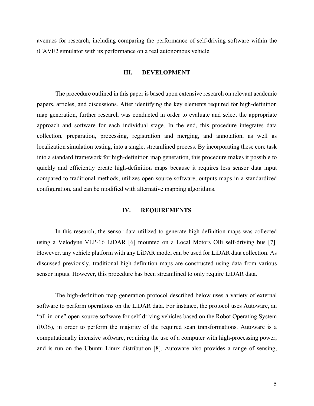avenues for research, including comparing the performance of self-driving software within the iCAVE2 simulator with its performance on a real autonomous vehicle.

#### **III. DEVELOPMENT**

The procedure outlined in this paper is based upon extensive research on relevant academic papers, articles, and discussions. After identifying the key elements required for high-definition map generation, further research was conducted in order to evaluate and select the appropriate approach and software for each individual stage. In the end, this procedure integrates data collection, preparation, processing, registration and merging, and annotation, as well as localization simulation testing, into a single, streamlined process. By incorporating these core task into a standard framework for high-definition map generation, this procedure makes it possible to quickly and efficiently create high-definition maps because it requires less sensor data input compared to traditional methods, utilizes open-source software, outputs maps in a standardized configuration, and can be modified with alternative mapping algorithms.

#### **IV. REQUIREMENTS**

In this research, the sensor data utilized to generate high-definition maps was collected using a Velodyne VLP-16 LiDAR [6] mounted on a Local Motors Olli self-driving bus [7]. However, any vehicle platform with any LiDAR model can be used for LiDAR data collection. As discussed previously, traditional high-definition maps are constructed using data from various sensor inputs. However, this procedure has been streamlined to only require LiDAR data.

The high-definition map generation protocol described below uses a variety of external software to perform operations on the LiDAR data. For instance, the protocol uses Autoware, an "all-in-one" open-source software for self-driving vehicles based on the Robot Operating System (ROS), in order to perform the majority of the required scan transformations. Autoware is a computationally intensive software, requiring the use of a computer with high-processing power, and is run on the Ubuntu Linux distribution [8]. Autoware also provides a range of sensing,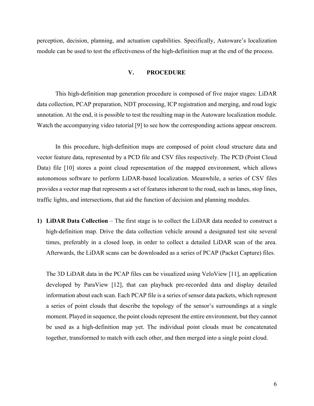perception, decision, planning, and actuation capabilities. Specifically, Autoware's localization module can be used to test the effectiveness of the high-definition map at the end of the process.

#### **V. PROCEDURE**

This high-definition map generation procedure is composed of five major stages: LiDAR data collection, PCAP preparation, NDT processing, ICP registration and merging, and road logic annotation. At the end, it is possible to test the resulting map in the Autoware localization module. Watch the accompanying video tutorial [9] to see how the corresponding actions appear onscreen.

In this procedure, high-definition maps are composed of point cloud structure data and vector feature data, represented by a PCD file and CSV files respectively. The PCD (Point Cloud Data) file [10] stores a point cloud representation of the mapped environment, which allows autonomous software to perform LiDAR-based localization. Meanwhile, a series of CSV files provides a vector map that represents a set of features inherent to the road, such as lanes, stop lines, traffic lights, and intersections, that aid the function of decision and planning modules.

**1) LiDAR Data Collection** – The first stage is to collect the LiDAR data needed to construct a high-definition map. Drive the data collection vehicle around a designated test site several times, preferably in a closed loop, in order to collect a detailed LiDAR scan of the area. Afterwards, the LiDAR scans can be downloaded as a series of PCAP (Packet Capture) files.

The 3D LiDAR data in the PCAP files can be visualized using VeloView [11], an application developed by ParaView [12], that can playback pre-recorded data and display detailed information about each scan. Each PCAP file is a series of sensor data packets, which represent a series of point clouds that describe the topology of the sensor's surroundings at a single moment. Played in sequence, the point clouds represent the entire environment, but they cannot be used as a high-definition map yet. The individual point clouds must be concatenated together, transformed to match with each other, and then merged into a single point cloud.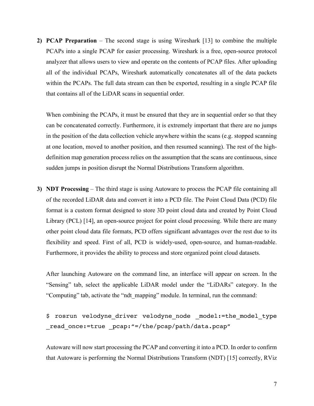**2) PCAP Preparation** – The second stage is using Wireshark [13] to combine the multiple PCAPs into a single PCAP for easier processing. Wireshark is a free, open-source protocol analyzer that allows users to view and operate on the contents of PCAP files. After uploading all of the individual PCAPs, Wireshark automatically concatenates all of the data packets within the PCAPs. The full data stream can then be exported, resulting in a single PCAP file that contains all of the LiDAR scans in sequential order.

When combining the PCAPs, it must be ensured that they are in sequential order so that they can be concatenated correctly. Furthermore, it is extremely important that there are no jumps in the position of the data collection vehicle anywhere within the scans (e.g. stopped scanning at one location, moved to another position, and then resumed scanning). The rest of the highdefinition map generation process relies on the assumption that the scans are continuous, since sudden jumps in position disrupt the Normal Distributions Transform algorithm.

**3) NDT Processing** – The third stage is using Autoware to process the PCAP file containing all of the recorded LiDAR data and convert it into a PCD file. The Point Cloud Data (PCD) file format is a custom format designed to store 3D point cloud data and created by Point Cloud Library (PCL) [14], an open-source project for point cloud processing. While there are many other point cloud data file formats, PCD offers significant advantages over the rest due to its flexibility and speed. First of all, PCD is widely-used, open-source, and human-readable. Furthermore, it provides the ability to process and store organized point cloud datasets.

After launching Autoware on the command line, an interface will appear on screen. In the "Sensing" tab, select the applicable LiDAR model under the "LiDARs" category. In the "Computing" tab, activate the "ndt\_mapping" module. In terminal, run the command:

```
$ rosrun velodyne driver velodyne node model:=the model type
read once:=true pcap:"=/the/pcap/path/data.pcap"
```
Autoware will now start processing the PCAP and converting it into a PCD. In order to confirm that Autoware is performing the Normal Distributions Transform (NDT) [15] correctly, RViz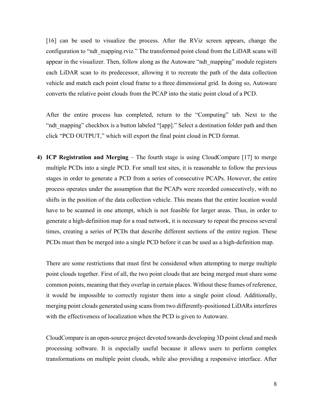[16] can be used to visualize the process. After the RViz screen appears, change the configuration to "ndt\_mapping.rviz." The transformed point cloud from the LiDAR scans will appear in the visualizer. Then, follow along as the Autoware "ndt mapping" module registers each LiDAR scan to its predecessor, allowing it to recreate the path of the data collection vehicle and match each point cloud frame to a three dimensional grid. In doing so, Autoware converts the relative point clouds from the PCAP into the static point cloud of a PCD.

After the entire process has completed, return to the "Computing" tab. Next to the "ndt mapping" checkbox is a button labeled "[app]." Select a destination folder path and then click "PCD OUTPUT," which will export the final point cloud in PCD format.

**4) ICP Registration and Merging** – The fourth stage is using CloudCompare [17] to merge multiple PCDs into a single PCD. For small test sites, it is reasonable to follow the previous stages in order to generate a PCD from a series of consecutive PCAPs. However, the entire process operates under the assumption that the PCAPs were recorded consecutively, with no shifts in the position of the data collection vehicle. This means that the entire location would have to be scanned in one attempt, which is not feasible for larger areas. Thus, in order to generate a high-definition map for a road network, it is necessary to repeat the process several times, creating a series of PCDs that describe different sections of the entire region. These PCDs must then be merged into a single PCD before it can be used as a high-definition map.

There are some restrictions that must first be considered when attempting to merge multiple point clouds together. First of all, the two point clouds that are being merged must share some common points, meaning that they overlap in certain places. Without these frames of reference, it would be impossible to correctly register them into a single point cloud. Additionally, merging point clouds generated using scans from two differently-positioned LiDARs interferes with the effectiveness of localization when the PCD is given to Autoware.

CloudCompare is an open-source project devoted towards developing 3D point cloud and mesh processing software. It is especially useful because it allows users to perform complex transformations on multiple point clouds, while also providing a responsive interface. After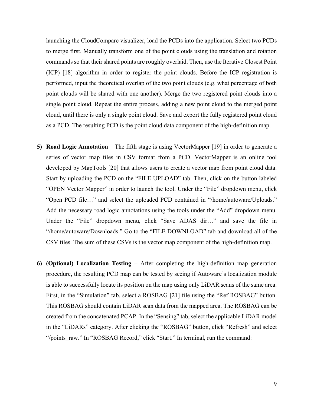launching the CloudCompare visualizer, load the PCDs into the application. Select two PCDs to merge first. Manually transform one of the point clouds using the translation and rotation commands so that their shared points are roughly overlaid. Then, use the Iterative Closest Point (ICP) [18] algorithm in order to register the point clouds. Before the ICP registration is performed, input the theoretical overlap of the two point clouds (e.g. what percentage of both point clouds will be shared with one another). Merge the two registered point clouds into a single point cloud. Repeat the entire process, adding a new point cloud to the merged point cloud, until there is only a single point cloud. Save and export the fully registered point cloud as a PCD. The resulting PCD is the point cloud data component of the high-definition map.

- **5) Road Logic Annotation** The fifth stage is using VectorMapper [19] in order to generate a series of vector map files in CSV format from a PCD. VectorMapper is an online tool developed by MapTools [20] that allows users to create a vector map from point cloud data. Start by uploading the PCD on the "FILE UPLOAD" tab. Then, click on the button labeled "OPEN Vector Mapper" in order to launch the tool. Under the "File" dropdown menu, click "Open PCD file…" and select the uploaded PCD contained in "/home/autoware/Uploads." Add the necessary road logic annotations using the tools under the "Add" dropdown menu. Under the "File" dropdown menu, click "Save ADAS dir…" and save the file in "/home/autoware/Downloads." Go to the "FILE DOWNLOAD" tab and download all of the CSV files. The sum of these CSVs is the vector map component of the high-definition map.
- **6) (Optional) Localization Testing**  After completing the high-definition map generation procedure, the resulting PCD map can be tested by seeing if Autoware's localization module is able to successfully locate its position on the map using only LiDAR scans of the same area. First, in the "Simulation" tab, select a ROSBAG [21] file using the "Ref ROSBAG" button. This ROSBAG should contain LiDAR scan data from the mapped area. The ROSBAG can be created from the concatenated PCAP. In the "Sensing" tab, select the applicable LiDAR model in the "LiDARs" category. After clicking the "ROSBAG" button, click "Refresh" and select "/points raw." In "ROSBAG Record," click "Start." In terminal, run the command: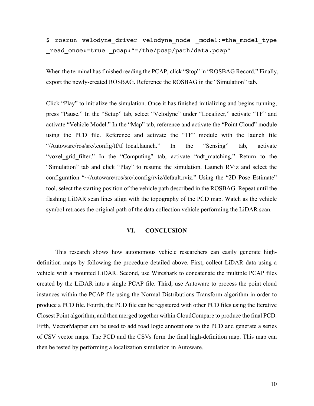\$ rosrun velodyne driver velodyne node model:=the model type \_read\_once:=true \_pcap:"=/the/pcap/path/data.pcap"

When the terminal has finished reading the PCAP, click "Stop" in "ROSBAG Record." Finally, export the newly-created ROSBAG. Reference the ROSBAG in the "Simulation" tab.

Click "Play" to initialize the simulation. Once it has finished initializing and begins running, press "Pause." In the "Setup" tab, select "Velodyne" under "Localizer," activate "TF" and activate "Vehicle Model." In the "Map" tab, reference and activate the "Point Cloud" module using the PCD file. Reference and activate the "TF" module with the launch file "/Autoware/ros/src/.config/tf/tf local.launch." In the "Sensing" tab, activate "voxel grid filter." In the "Computing" tab, activate "ndt matching." Return to the "Simulation" tab and click "Play" to resume the simulation. Launch RViz and select the configuration "~/Autoware/ros/src/.config/rviz/default.rviz." Using the "2D Pose Estimate" tool, select the starting position of the vehicle path described in the ROSBAG. Repeat until the flashing LiDAR scan lines align with the topography of the PCD map. Watch as the vehicle symbol retraces the original path of the data collection vehicle performing the LiDAR scan.

## **VI. CONCLUSION**

This research shows how autonomous vehicle researchers can easily generate highdefinition maps by following the procedure detailed above. First, collect LiDAR data using a vehicle with a mounted LiDAR. Second, use Wireshark to concatenate the multiple PCAP files created by the LiDAR into a single PCAP file. Third, use Autoware to process the point cloud instances within the PCAP file using the Normal Distributions Transform algorithm in order to produce a PCD file. Fourth, the PCD file can be registered with other PCD files using the Iterative Closest Point algorithm, and then merged together within CloudCompare to produce the final PCD. Fifth, VectorMapper can be used to add road logic annotations to the PCD and generate a series of CSV vector maps. The PCD and the CSVs form the final high-definition map. This map can then be tested by performing a localization simulation in Autoware.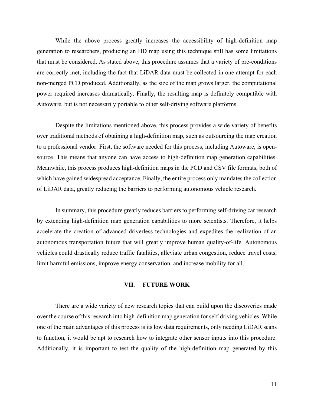While the above process greatly increases the accessibility of high-definition map generation to researchers, producing an HD map using this technique still has some limitations that must be considered. As stated above, this procedure assumes that a variety of pre-conditions are correctly met, including the fact that LiDAR data must be collected in one attempt for each non-merged PCD produced. Additionally, as the size of the map grows larger, the computational power required increases dramatically. Finally, the resulting map is definitely compatible with Autoware, but is not necessarily portable to other self-driving software platforms.

Despite the limitations mentioned above, this process provides a wide variety of benefits over traditional methods of obtaining a high-definition map, such as outsourcing the map creation to a professional vendor. First, the software needed for this process, including Autoware, is opensource. This means that anyone can have access to high-definition map generation capabilities. Meanwhile, this process produces high-definition maps in the PCD and CSV file formats, both of which have gained widespread acceptance. Finally, the entire process only mandates the collection of LiDAR data, greatly reducing the barriers to performing autonomous vehicle research.

In summary, this procedure greatly reduces barriers to performing self-driving car research by extending high-definition map generation capabilities to more scientists. Therefore, it helps accelerate the creation of advanced driverless technologies and expedites the realization of an autonomous transportation future that will greatly improve human quality-of-life. Autonomous vehicles could drastically reduce traffic fatalities, alleviate urban congestion, reduce travel costs, limit harmful emissions, improve energy conservation, and increase mobility for all.

## **VII. FUTURE WORK**

There are a wide variety of new research topics that can build upon the discoveries made over the course of this research into high-definition map generation for self-driving vehicles. While one of the main advantages of this process is its low data requirements, only needing LiDAR scans to function, it would be apt to research how to integrate other sensor inputs into this procedure. Additionally, it is important to test the quality of the high-definition map generated by this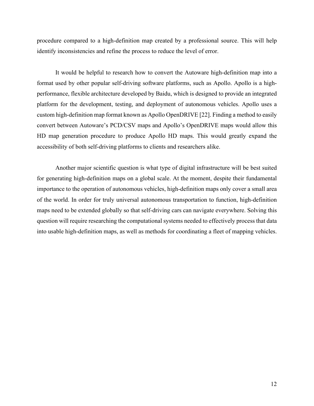procedure compared to a high-definition map created by a professional source. This will help identify inconsistencies and refine the process to reduce the level of error.

It would be helpful to research how to convert the Autoware high-definition map into a format used by other popular self-driving software platforms, such as Apollo. Apollo is a highperformance, flexible architecture developed by Baidu, which is designed to provide an integrated platform for the development, testing, and deployment of autonomous vehicles. Apollo uses a custom high-definition map format known as Apollo OpenDRIVE [22]. Finding a method to easily convert between Autoware's PCD/CSV maps and Apollo's OpenDRIVE maps would allow this HD map generation procedure to produce Apollo HD maps. This would greatly expand the accessibility of both self-driving platforms to clients and researchers alike.

Another major scientific question is what type of digital infrastructure will be best suited for generating high-definition maps on a global scale. At the moment, despite their fundamental importance to the operation of autonomous vehicles, high-definition maps only cover a small area of the world. In order for truly universal autonomous transportation to function, high-definition maps need to be extended globally so that self-driving cars can navigate everywhere. Solving this question will require researching the computational systems needed to effectively process that data into usable high-definition maps, as well as methods for coordinating a fleet of mapping vehicles.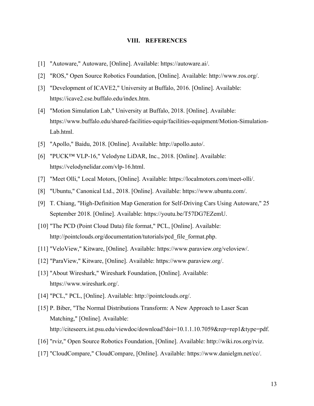### **VIII. REFERENCES**

- [1] "Autoware," Autoware, [Online]. Available: https://autoware.ai/.
- [2] "ROS," Open Source Robotics Foundation, [Online]. Available: http://www.ros.org/.
- [3] "Development of ICAVE2," University at Buffalo, 2016. [Online]. Available: https://icave2.cse.buffalo.edu/index.htm.
- [4] "Motion Simulation Lab," University at Buffalo, 2018. [Online]. Available: https://www.buffalo.edu/shared-facilities-equip/facilities-equipment/Motion-Simulation-Lab.html.
- [5] "Apollo," Baidu, 2018. [Online]. Available: http://apollo.auto/.
- [6] "PUCK™ VLP-16," Velodyne LiDAR, Inc., 2018. [Online]. Available: https://velodynelidar.com/vlp-16.html.
- [7] "Meet Olli," Local Motors, [Online]. Available: https://localmotors.com/meet-olli/.
- [8] "Ubuntu," Canonical Ltd., 2018. [Online]. Available: https://www.ubuntu.com/.
- [9] T. Chiang, "High-Definition Map Generation for Self-Driving Cars Using Autoware," 25 September 2018. [Online]. Available: https://youtu.be/T57DG7EZemU.
- [10] "The PCD (Point Cloud Data) file format," PCL, [Online]. Available: http://pointclouds.org/documentation/tutorials/pcd\_file\_format.php.
- [11] "VeloView," Kitware, [Online]. Available: https://www.paraview.org/veloview/.
- [12] "ParaView," Kitware, [Online]. Available: https://www.paraview.org/.
- [13] "About Wireshark," Wireshark Foundation, [Online]. Available: https://www.wireshark.org/.
- [14] "PCL," PCL, [Online]. Available: http://pointclouds.org/.
- [15] P. Biber, "The Normal Distributions Transform: A New Approach to Laser Scan Matching," [Online]. Available: http://citeseerx.ist.psu.edu/viewdoc/download?doi=10.1.1.10.7059&rep=rep1&type=pdf.
- [16] "rviz," Open Source Robotics Foundation, [Online]. Available: http://wiki.ros.org/rviz.
- [17] "CloudCompare," CloudCompare, [Online]. Available: https://www.danielgm.net/cc/.